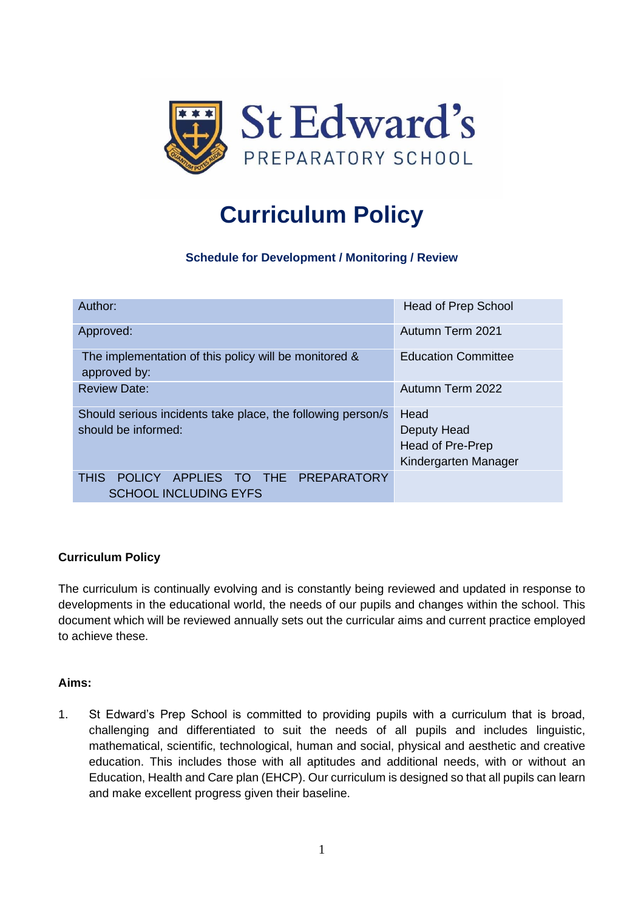

# **Curriculum Policy**

**Schedule for Development / Monitoring / Review**

| Author:                                                                            | <b>Head of Prep School</b>                                      |
|------------------------------------------------------------------------------------|-----------------------------------------------------------------|
| Approved:                                                                          | Autumn Term 2021                                                |
| The implementation of this policy will be monitored &<br>approved by:              | <b>Education Committee</b>                                      |
| <b>Review Date:</b>                                                                | Autumn Term 2022                                                |
| Should serious incidents take place, the following person/s<br>should be informed: | Head<br>Deputy Head<br>Head of Pre-Prep<br>Kindergarten Manager |
| POLICY APPLIES TO THE PREPARATORY<br><b>THIS</b><br><b>SCHOOL INCLUDING EYFS</b>   |                                                                 |

# **Curriculum Policy**

The curriculum is continually evolving and is constantly being reviewed and updated in response to developments in the educational world, the needs of our pupils and changes within the school. This document which will be reviewed annually sets out the curricular aims and current practice employed to achieve these.

# **Aims:**

1. St Edward's Prep School is committed to providing pupils with a curriculum that is broad, challenging and differentiated to suit the needs of all pupils and includes linguistic, mathematical, scientific, technological, human and social, physical and aesthetic and creative education. This includes those with all aptitudes and additional needs, with or without an Education, Health and Care plan (EHCP). Our curriculum is designed so that all pupils can learn and make excellent progress given their baseline.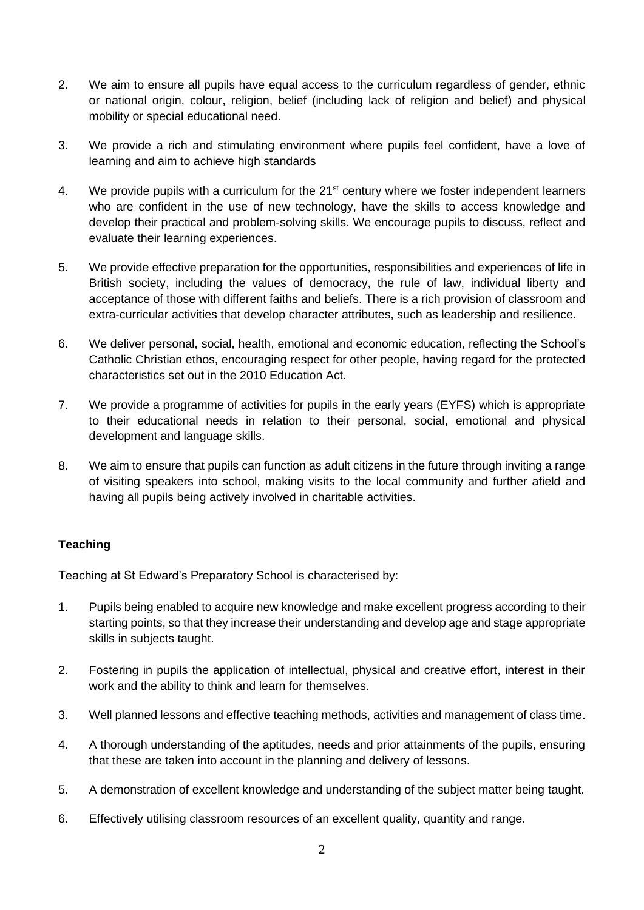- 2. We aim to ensure all pupils have equal access to the curriculum regardless of gender, ethnic or national origin, colour, religion, belief (including lack of religion and belief) and physical mobility or special educational need.
- 3. We provide a rich and stimulating environment where pupils feel confident, have a love of learning and aim to achieve high standards
- 4. We provide pupils with a curriculum for the 21<sup>st</sup> century where we foster independent learners who are confident in the use of new technology, have the skills to access knowledge and develop their practical and problem-solving skills. We encourage pupils to discuss, reflect and evaluate their learning experiences.
- 5. We provide effective preparation for the opportunities, responsibilities and experiences of life in British society, including the values of democracy, the rule of law, individual liberty and acceptance of those with different faiths and beliefs. There is a rich provision of classroom and extra-curricular activities that develop character attributes, such as leadership and resilience.
- 6. We deliver personal, social, health, emotional and economic education, reflecting the School's Catholic Christian ethos, encouraging respect for other people, having regard for the protected characteristics set out in the 2010 Education Act.
- 7. We provide a programme of activities for pupils in the early years (EYFS) which is appropriate to their educational needs in relation to their personal, social, emotional and physical development and language skills.
- 8. We aim to ensure that pupils can function as adult citizens in the future through inviting a range of visiting speakers into school, making visits to the local community and further afield and having all pupils being actively involved in charitable activities.

# **Teaching**

Teaching at St Edward's Preparatory School is characterised by:

- 1. Pupils being enabled to acquire new knowledge and make excellent progress according to their starting points, so that they increase their understanding and develop age and stage appropriate skills in subjects taught.
- 2. Fostering in pupils the application of intellectual, physical and creative effort, interest in their work and the ability to think and learn for themselves.
- 3. Well planned lessons and effective teaching methods, activities and management of class time.
- 4. A thorough understanding of the aptitudes, needs and prior attainments of the pupils, ensuring that these are taken into account in the planning and delivery of lessons.
- 5. A demonstration of excellent knowledge and understanding of the subject matter being taught.
- 6. Effectively utilising classroom resources of an excellent quality, quantity and range.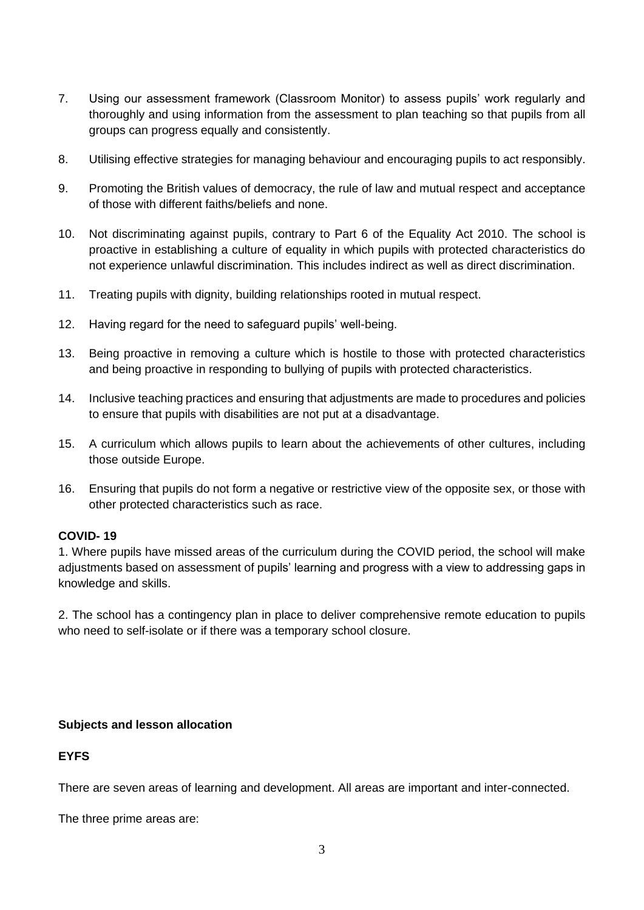- 7. Using our assessment framework (Classroom Monitor) to assess pupils' work regularly and thoroughly and using information from the assessment to plan teaching so that pupils from all groups can progress equally and consistently.
- 8. Utilising effective strategies for managing behaviour and encouraging pupils to act responsibly.
- 9. Promoting the British values of democracy, the rule of law and mutual respect and acceptance of those with different faiths/beliefs and none.
- 10. Not discriminating against pupils, contrary to Part 6 of the Equality Act 2010. The school is proactive in establishing a culture of equality in which pupils with protected characteristics do not experience unlawful discrimination. This includes indirect as well as direct discrimination.
- 11. Treating pupils with dignity, building relationships rooted in mutual respect.
- 12. Having regard for the need to safeguard pupils' well-being.
- 13. Being proactive in removing a culture which is hostile to those with protected characteristics and being proactive in responding to bullying of pupils with protected characteristics.
- 14. Inclusive teaching practices and ensuring that adjustments are made to procedures and policies to ensure that pupils with disabilities are not put at a disadvantage.
- 15. A curriculum which allows pupils to learn about the achievements of other cultures, including those outside Europe.
- 16. Ensuring that pupils do not form a negative or restrictive view of the opposite sex, or those with other protected characteristics such as race.

#### **COVID- 19**

1. Where pupils have missed areas of the curriculum during the COVID period, the school will make adjustments based on assessment of pupils' learning and progress with a view to addressing gaps in knowledge and skills.

2. The school has a contingency plan in place to deliver comprehensive remote education to pupils who need to self-isolate or if there was a temporary school closure.

#### **Subjects and lesson allocation**

# **EYFS**

There are seven areas of learning and development. All areas are important and inter-connected.

The three prime areas are: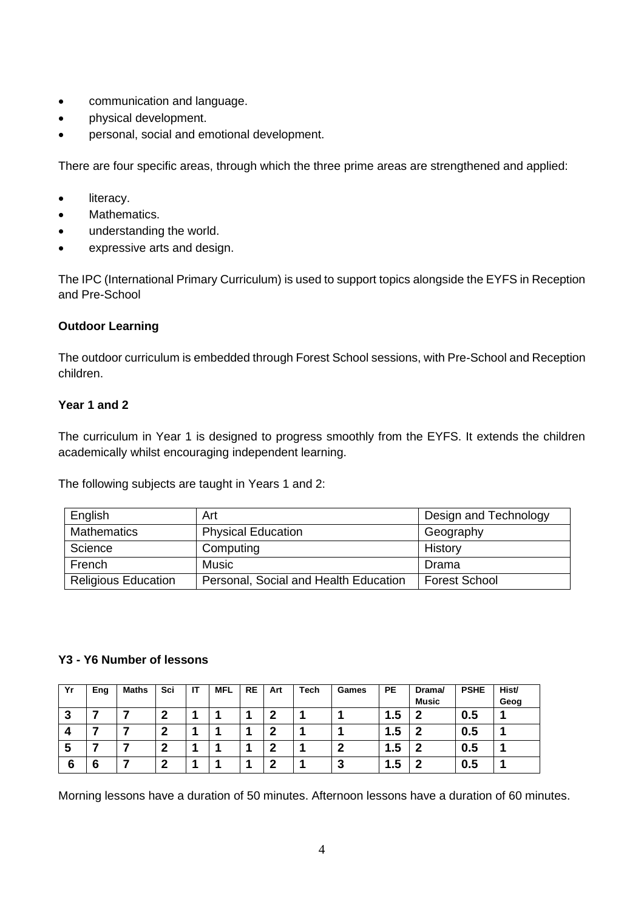- communication and language.
- physical development.
- personal, social and emotional development.

There are four specific areas, through which the three prime areas are strengthened and applied:

- literacy.
- Mathematics.
- understanding the world.
- expressive arts and design.

The IPC (International Primary Curriculum) is used to support topics alongside the EYFS in Reception and Pre-School

# **Outdoor Learning**

The outdoor curriculum is embedded through Forest School sessions, with Pre-School and Reception children.

## **Year 1 and 2**

The curriculum in Year 1 is designed to progress smoothly from the EYFS. It extends the children academically whilst encouraging independent learning.

The following subjects are taught in Years 1 and 2:

| English                    | Art                                   | Design and Technology |
|----------------------------|---------------------------------------|-----------------------|
| <b>Mathematics</b>         | <b>Physical Education</b>             | Geography             |
| Science                    | Computing                             | History               |
| French                     | <b>Music</b>                          | Drama                 |
| <b>Religious Education</b> | Personal, Social and Health Education | <b>Forest School</b>  |

#### **Y3 - Y6 Number of lessons**

| Yr       | Eng | <b>Maths</b> | Sci | IT | <b>MFL</b> | <b>RE</b> | Art | Tech | Games | <b>PE</b> | Drama/       | <b>PSHE</b> | Hist/ |
|----------|-----|--------------|-----|----|------------|-----------|-----|------|-------|-----------|--------------|-------------|-------|
|          |     |              |     |    |            |           |     |      |       |           | <b>Music</b> |             | Geog  |
| n<br>- 2 |     |              | n   |    |            |           |     |      |       | 1.5       | o            | 0.5         |       |
|          |     |              | ,   |    |            |           |     |      |       | 1.5       | n            | 0.5         |       |
| э        |     |              | ີ   |    |            |           |     |      | n     | 1.5       | n            | 0.5         |       |
| 6        | 6   |              | ົ   |    |            |           |     |      | w     | 1.5       | ◠            | 0.5         |       |

Morning lessons have a duration of 50 minutes. Afternoon lessons have a duration of 60 minutes.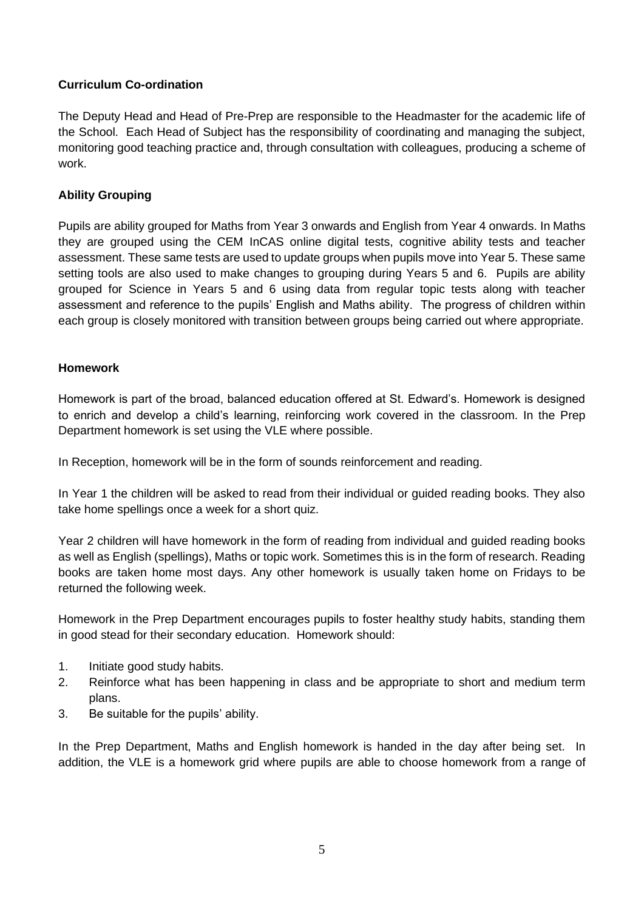# **Curriculum Co-ordination**

The Deputy Head and Head of Pre-Prep are responsible to the Headmaster for the academic life of the School. Each Head of Subject has the responsibility of coordinating and managing the subject, monitoring good teaching practice and, through consultation with colleagues, producing a scheme of work.

## **Ability Grouping**

Pupils are ability grouped for Maths from Year 3 onwards and English from Year 4 onwards. In Maths they are grouped using the CEM InCAS online digital tests, cognitive ability tests and teacher assessment. These same tests are used to update groups when pupils move into Year 5. These same setting tools are also used to make changes to grouping during Years 5 and 6. Pupils are ability grouped for Science in Years 5 and 6 using data from regular topic tests along with teacher assessment and reference to the pupils' English and Maths ability. The progress of children within each group is closely monitored with transition between groups being carried out where appropriate.

## **Homework**

Homework is part of the broad, balanced education offered at St. Edward's. Homework is designed to enrich and develop a child's learning, reinforcing work covered in the classroom. In the Prep Department homework is set using the VLE where possible.

In Reception, homework will be in the form of sounds reinforcement and reading.

In Year 1 the children will be asked to read from their individual or guided reading books. They also take home spellings once a week for a short quiz.

Year 2 children will have homework in the form of reading from individual and guided reading books as well as English (spellings), Maths or topic work. Sometimes this is in the form of research. Reading books are taken home most days. Any other homework is usually taken home on Fridays to be returned the following week.

Homework in the Prep Department encourages pupils to foster healthy study habits, standing them in good stead for their secondary education. Homework should:

- 1. Initiate good study habits.
- 2. Reinforce what has been happening in class and be appropriate to short and medium term plans.
- 3. Be suitable for the pupils' ability.

In the Prep Department, Maths and English homework is handed in the day after being set. In addition, the VLE is a homework grid where pupils are able to choose homework from a range of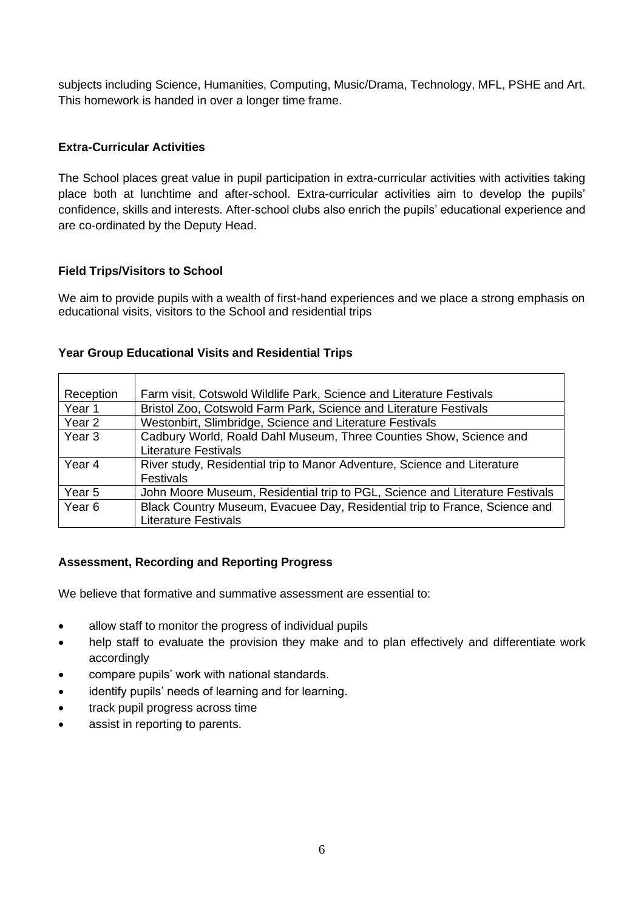subjects including Science, Humanities, Computing, Music/Drama, Technology, MFL, PSHE and Art. This homework is handed in over a longer time frame.

# **Extra-Curricular Activities**

The School places great value in pupil participation in extra-curricular activities with activities taking place both at lunchtime and after-school. Extra-curricular activities aim to develop the pupils' confidence, skills and interests. After-school clubs also enrich the pupils' educational experience and are co-ordinated by the Deputy Head.

## **Field Trips/Visitors to School**

We aim to provide pupils with a wealth of first-hand experiences and we place a strong emphasis on educational visits, visitors to the School and residential trips

## **Year Group Educational Visits and Residential Trips**

| Reception         | Farm visit, Cotswold Wildlife Park, Science and Literature Festivals         |
|-------------------|------------------------------------------------------------------------------|
| Year 1            | Bristol Zoo, Cotswold Farm Park, Science and Literature Festivals            |
| Year 2            | Westonbirt, Slimbridge, Science and Literature Festivals                     |
| Year <sub>3</sub> | Cadbury World, Roald Dahl Museum, Three Counties Show, Science and           |
|                   | <b>Literature Festivals</b>                                                  |
| Year 4            | River study, Residential trip to Manor Adventure, Science and Literature     |
|                   | <b>Festivals</b>                                                             |
| Year <sub>5</sub> | John Moore Museum, Residential trip to PGL, Science and Literature Festivals |
| Year <sub>6</sub> | Black Country Museum, Evacuee Day, Residential trip to France, Science and   |
|                   | <b>Literature Festivals</b>                                                  |

#### **Assessment, Recording and Reporting Progress**

We believe that formative and summative assessment are essential to:

- allow staff to monitor the progress of individual pupils
- help staff to evaluate the provision they make and to plan effectively and differentiate work accordingly
- compare pupils' work with national standards.
- identify pupils' needs of learning and for learning.
- track pupil progress across time
- assist in reporting to parents.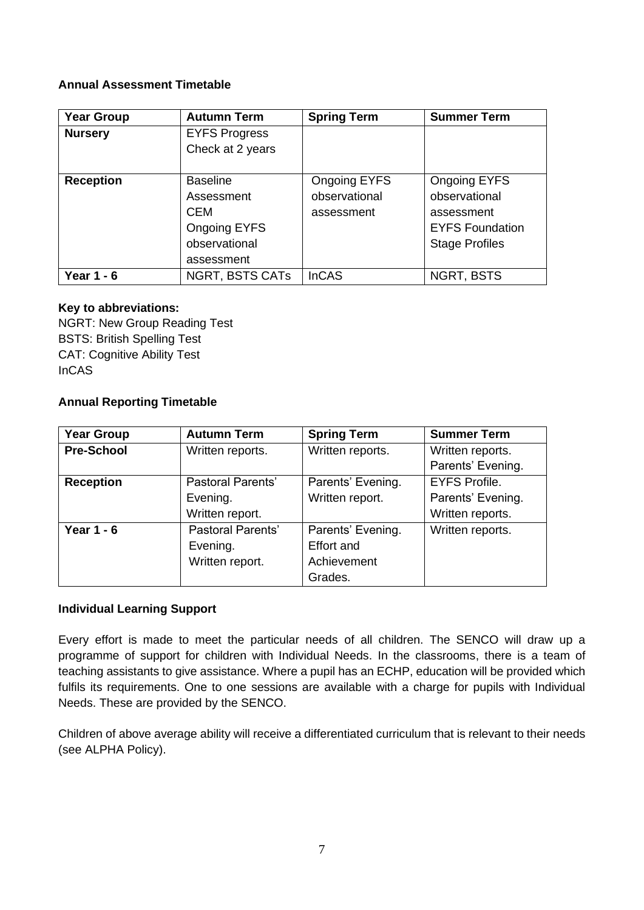## **Annual Assessment Timetable**

| <b>Year Group</b> | <b>Autumn Term</b>                                                                                | <b>Spring Term</b>                          | <b>Summer Term</b>                                                                                    |
|-------------------|---------------------------------------------------------------------------------------------------|---------------------------------------------|-------------------------------------------------------------------------------------------------------|
| <b>Nursery</b>    | <b>EYFS Progress</b><br>Check at 2 years                                                          |                                             |                                                                                                       |
| <b>Reception</b>  | <b>Baseline</b><br>Assessment<br><b>CEM</b><br><b>Ongoing EYFS</b><br>observational<br>assessment | Ongoing EYFS<br>observational<br>assessment | <b>Ongoing EYFS</b><br>observational<br>assessment<br><b>EYFS Foundation</b><br><b>Stage Profiles</b> |
| Year $1 - 6$      | <b>NGRT, BSTS CATs</b>                                                                            | <b>InCAS</b>                                | <b>NGRT, BSTS</b>                                                                                     |

## **Key to abbreviations:**

NGRT: New Group Reading Test BSTS: British Spelling Test CAT: Cognitive Ability Test InCAS

# **Annual Reporting Timetable**

| <b>Year Group</b> | <b>Autumn Term</b>       | <b>Spring Term</b> | <b>Summer Term</b>   |  |
|-------------------|--------------------------|--------------------|----------------------|--|
| <b>Pre-School</b> | Written reports.         | Written reports.   | Written reports.     |  |
|                   |                          |                    | Parents' Evening.    |  |
| <b>Reception</b>  | <b>Pastoral Parents'</b> | Parents' Evening.  | <b>EYFS Profile.</b> |  |
|                   | Evening.                 | Written report.    | Parents' Evening.    |  |
|                   | Written report.          |                    | Written reports.     |  |
| Year $1 - 6$      | <b>Pastoral Parents'</b> | Parents' Evening.  | Written reports.     |  |
|                   | Evening.                 | <b>Effort and</b>  |                      |  |
|                   | Written report.          | Achievement        |                      |  |
|                   |                          | Grades.            |                      |  |

# **Individual Learning Support**

Every effort is made to meet the particular needs of all children. The SENCO will draw up a programme of support for children with Individual Needs. In the classrooms, there is a team of teaching assistants to give assistance. Where a pupil has an ECHP, education will be provided which fulfils its requirements. One to one sessions are available with a charge for pupils with Individual Needs. These are provided by the SENCO.

Children of above average ability will receive a differentiated curriculum that is relevant to their needs (see ALPHA Policy).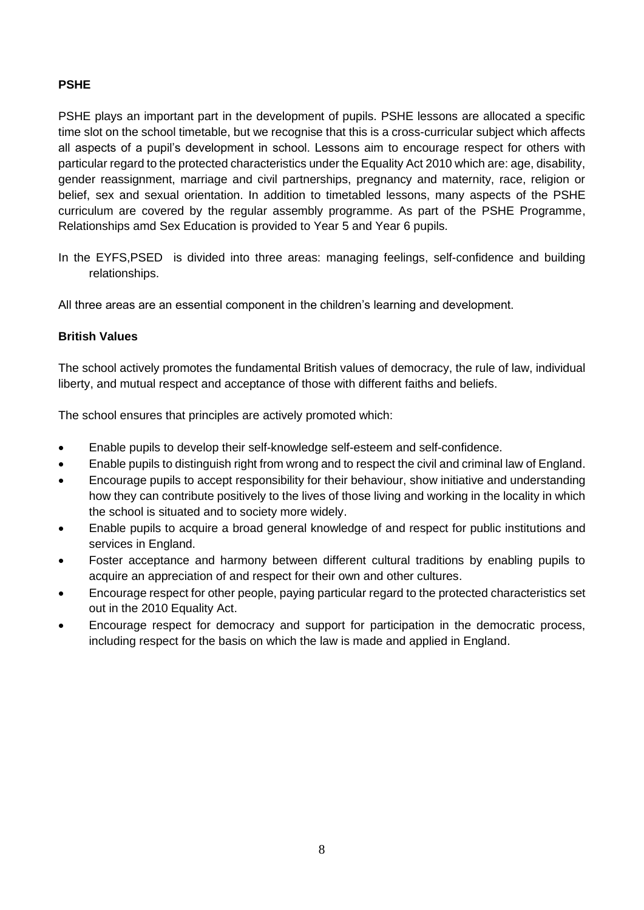# **PSHE**

PSHE plays an important part in the development of pupils. PSHE lessons are allocated a specific time slot on the school timetable, but we recognise that this is a cross-curricular subject which affects all aspects of a pupil's development in school. Lessons aim to encourage respect for others with particular regard to the protected characteristics under the Equality Act 2010 which are: age, disability, gender reassignment, marriage and civil partnerships, pregnancy and maternity, race, religion or belief, sex and sexual orientation. In addition to timetabled lessons, many aspects of the PSHE curriculum are covered by the regular assembly programme. As part of the PSHE Programme, Relationships amd Sex Education is provided to Year 5 and Year 6 pupils.

In the EYFS,PSED is divided into three areas: managing feelings, self-confidence and building relationships.

All three areas are an essential component in the children's learning and development.

## **British Values**

The school actively promotes the fundamental British values of democracy, the rule of law, individual liberty, and mutual respect and acceptance of those with different faiths and beliefs.

The school ensures that principles are actively promoted which:

- Enable pupils to develop their self-knowledge self-esteem and self-confidence.
- Enable pupils to distinguish right from wrong and to respect the civil and criminal law of England.
- Encourage pupils to accept responsibility for their behaviour, show initiative and understanding how they can contribute positively to the lives of those living and working in the locality in which the school is situated and to society more widely.
- Enable pupils to acquire a broad general knowledge of and respect for public institutions and services in England.
- Foster acceptance and harmony between different cultural traditions by enabling pupils to acquire an appreciation of and respect for their own and other cultures.
- Encourage respect for other people, paying particular regard to the protected characteristics set out in the 2010 Equality Act.
- Encourage respect for democracy and support for participation in the democratic process, including respect for the basis on which the law is made and applied in England.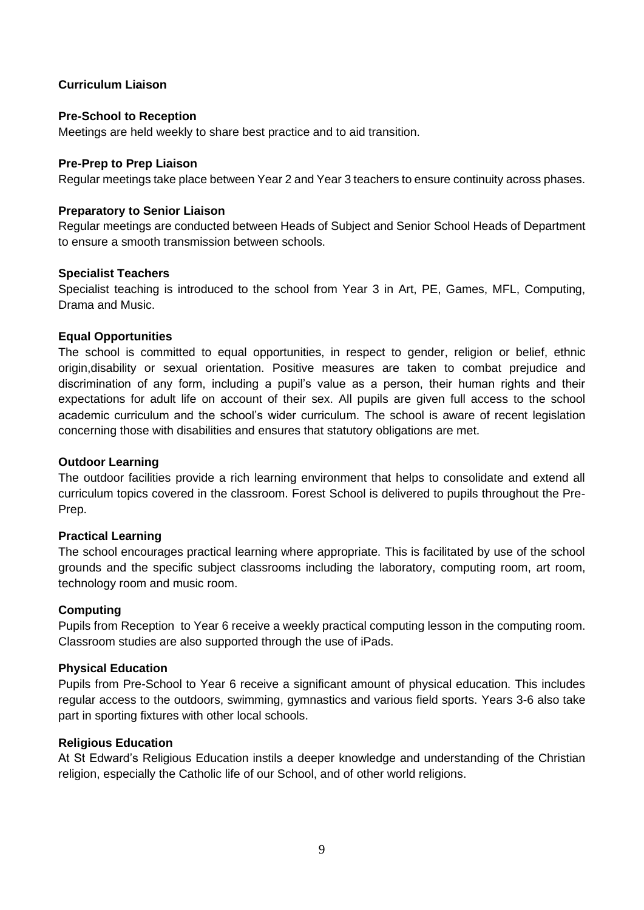## **Curriculum Liaison**

#### **Pre-School to Reception**

Meetings are held weekly to share best practice and to aid transition.

## **Pre-Prep to Prep Liaison**

Regular meetings take place between Year 2 and Year 3 teachers to ensure continuity across phases.

## **Preparatory to Senior Liaison**

Regular meetings are conducted between Heads of Subject and Senior School Heads of Department to ensure a smooth transmission between schools.

## **Specialist Teachers**

Specialist teaching is introduced to the school from Year 3 in Art, PE, Games, MFL, Computing, Drama and Music.

## **Equal Opportunities**

The school is committed to equal opportunities, in respect to gender, religion or belief, ethnic origin,disability or sexual orientation. Positive measures are taken to combat prejudice and discrimination of any form, including a pupil's value as a person, their human rights and their expectations for adult life on account of their sex. All pupils are given full access to the school academic curriculum and the school's wider curriculum. The school is aware of recent legislation concerning those with disabilities and ensures that statutory obligations are met.

## **Outdoor Learning**

The outdoor facilities provide a rich learning environment that helps to consolidate and extend all curriculum topics covered in the classroom. Forest School is delivered to pupils throughout the Pre-Prep.

#### **Practical Learning**

The school encourages practical learning where appropriate. This is facilitated by use of the school grounds and the specific subject classrooms including the laboratory, computing room, art room, technology room and music room.

#### **Computing**

Pupils from Reception to Year 6 receive a weekly practical computing lesson in the computing room. Classroom studies are also supported through the use of iPads.

#### **Physical Education**

Pupils from Pre-School to Year 6 receive a significant amount of physical education. This includes regular access to the outdoors, swimming, gymnastics and various field sports. Years 3-6 also take part in sporting fixtures with other local schools.

#### **Religious Education**

At St Edward's Religious Education instils a deeper knowledge and understanding of the Christian religion, especially the Catholic life of our School, and of other world religions.